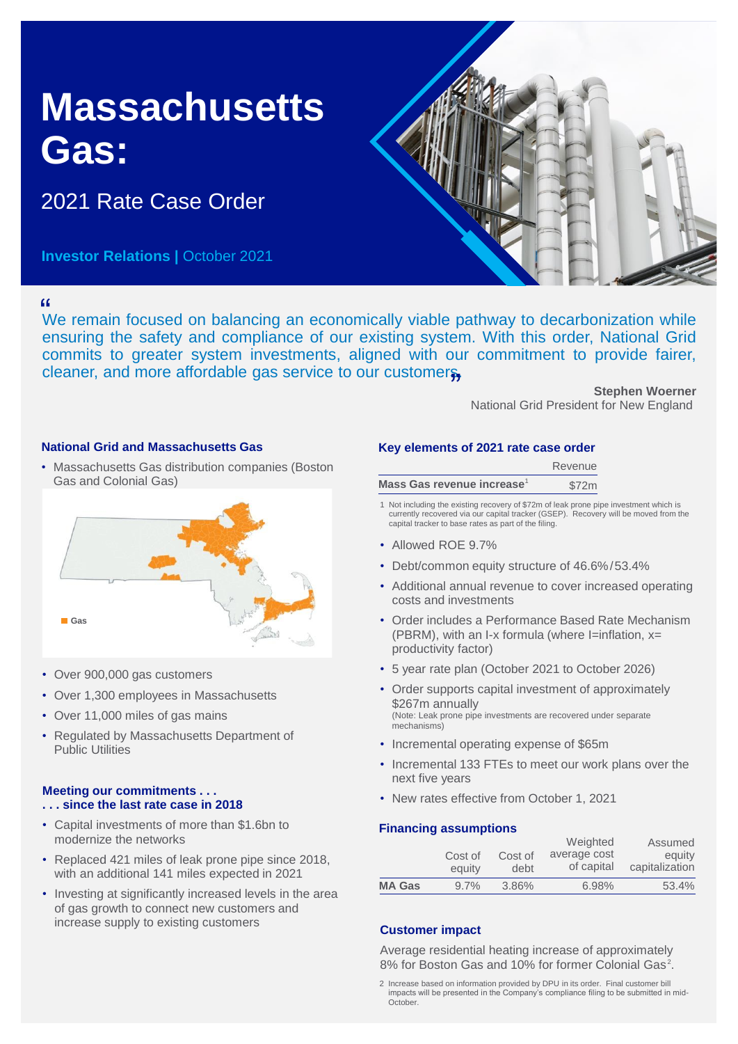# **Massachusetts Gas:**

2021 Rate Case Order

**Investor Relations | October 2021** 



We remain focused on balancing an economically viable pathway to decarbonization while " ensuring the safety and compliance of our existing system. With this order, National Grid commits to greater system investments, aligned with our commitment to provide fairer, cleaner, and more affordable gas service to our customers,

**Stephen Woerner** National Grid President for New England

# **National Grid and Massachusetts Gas**

• Massachusetts Gas distribution companies (Boston Gas and Colonial Gas)



- Over 900,000 gas customers
- Over 1,300 employees in Massachusetts
- Over 11,000 miles of gas mains
- Regulated by Massachusetts Department of Public Utilities

#### **Meeting our commitments . . . . . . since the last rate case in 2018**

- Capital investments of more than \$1.6bn to modernize the networks
- Replaced 421 miles of leak prone pipe since 2018, with an additional 141 miles expected in 2021
- Investing at significantly increased levels in the area of gas growth to connect new customers and increase supply to existing customers **Customer impact**

### **Key elements of 2021 rate case order**

|                                        | Revenue |
|----------------------------------------|---------|
| Mass Gas revenue increase <sup>1</sup> | \$72m   |

1 Not including the existing recovery of \$72m of leak prone pipe investment which is currently recovered via our capital tracker (GSEP). Recovery will be moved from the capital tracker to base rates as part of the filing.

- Allowed ROE 9.7%
- Debt/common equity structure of 46.6%/53.4%
- Additional annual revenue to cover increased operating costs and investments
- Order includes a Performance Based Rate Mechanism (PBRM), with an I-x formula (where I=inflation,  $x=$ productivity factor)
- 5 year rate plan (October 2021 to October 2026)
- Order supports capital investment of approximately \$267m annually (Note: Leak prone pipe investments are recovered under separate mechanisms)
- Incremental operating expense of \$65m
- Incremental 133 FTEs to meet our work plans over the next five years
- New rates effective from October 1, 2021

### **Financing assumptions**

|               |                   |                 | Weighted                   | Assumed                  |
|---------------|-------------------|-----------------|----------------------------|--------------------------|
|               | Cost of<br>equity | Cost of<br>debt | average cost<br>of capital | equity<br>capitalization |
| <b>MA Gas</b> | $9.7\%$           | 3.86%           | 6.98%                      | 53.4%                    |

Average residential heating increase of approximately 8% for Boston Gas and 10% for former Colonial Gas<sup>2</sup>.

<sup>2</sup> Increase based on information provided by DPU in its order. Final customer bill impacts will be presented in the Company's compliance filing to be submitted in mid-October.